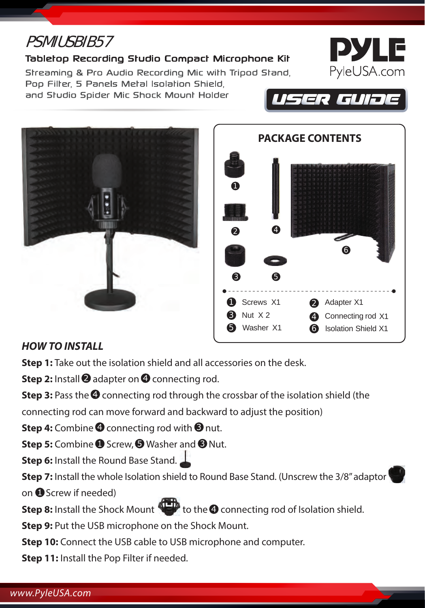# PSMIUSBIB57

#### Tabletop Recording Studio Compact Microphone Kit

Streaming & Pro Audio Recording Mic with Tripod Stand,

Poo Filter, 5 Panels Metal Isolation Shield. and Studio Spider Mic Shock Mount Holder







USER GUIJE



## *HOW TO INSTALL*

**Step 1:** Take out the isolation shield and all accessories on the desk.

**Step 2:** Install **@** adapter on **@** connecting rod.

**Step 3:** Pass the **O** connecting rod through the crossbar of the isolation shield (the

connecting rod can move forward and backward to adjust the position)

**Step 4:** Combine **O** connecting rod with **O** nut.

**Step 5:** Combine **O** Screw, **O** Washer and **O** Nut.

**Step 6:** Install the Round Base Stand.

**Step 7:** Install the whole Isolation shield to Round Base Stand. (Unscrew the 3/8" adaptor

on Screw if needed)

**Step 8:** Install the Shock Mount to the **Q** connecting rod of Isolation shield.

**Step 9:** Put the USB microphone on the Shock Mount.

**Step 10:** Connect the USB cable to USB microphone and computer.

**Step 11:** Install the Pop Filter if needed.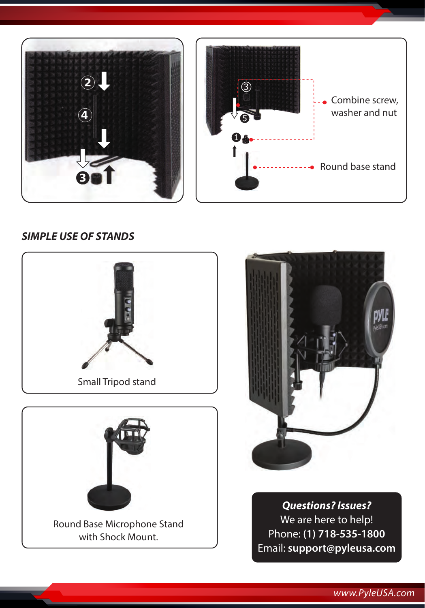

## *SIMPLE USE OF STANDS*







*Questions? Issues?* We are here to help! Phone: **(1) 718-535-1800** Email: **support@pyleusa.com**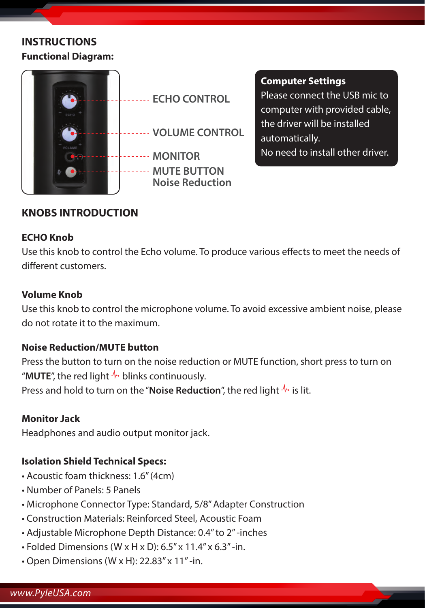## **INSTRUCTIONS Functional Diagram:**



#### **Computer Settings**

Please connect the USB mic to computer with provided cable, the driver will be installed automatically. No need to install other driver.

## **KNOBS INTRODUCTION**

#### **ECHO Knob**

Use this knob to control the Echo volume. To produce various effects to meet the needs of different customers

#### **Volume Knob**

Use this knob to control the microphone volume. To avoid excessive ambient noise, please do not rotate it to the maximum.

#### **Noise Reduction/MUTE button**

Press the button to turn on the noise reduction or MUTE function, short press to turn on "**MUTE**", the red light  $\sqrt[k]{n}$  blinks continuously.

Press and hold to turn on the "**Noise Reduction**", the red light  $\sqrt{\cdot}$  is lit.

#### **Monitor Jack**

Headphones and audio output monitor jack.

## **Isolation Shield Technical Specs:**

- Acoustic foam thickness: 1.6" (4cm)
- Number of Panels: 5 Panels
- Microphone Connector Type: Standard, 5/8'' Adapter Construction
- Construction Materials: Reinforced Steel, Acoustic Foam
- Adjustable Microphone Depth Distance: 0.4" to 2" -inches
- Folded Dimensions (W x H x D): 6.5" x 11.4" x 6.3" -in.
- Open Dimensions (W x H): 22.83" x 11" -in.